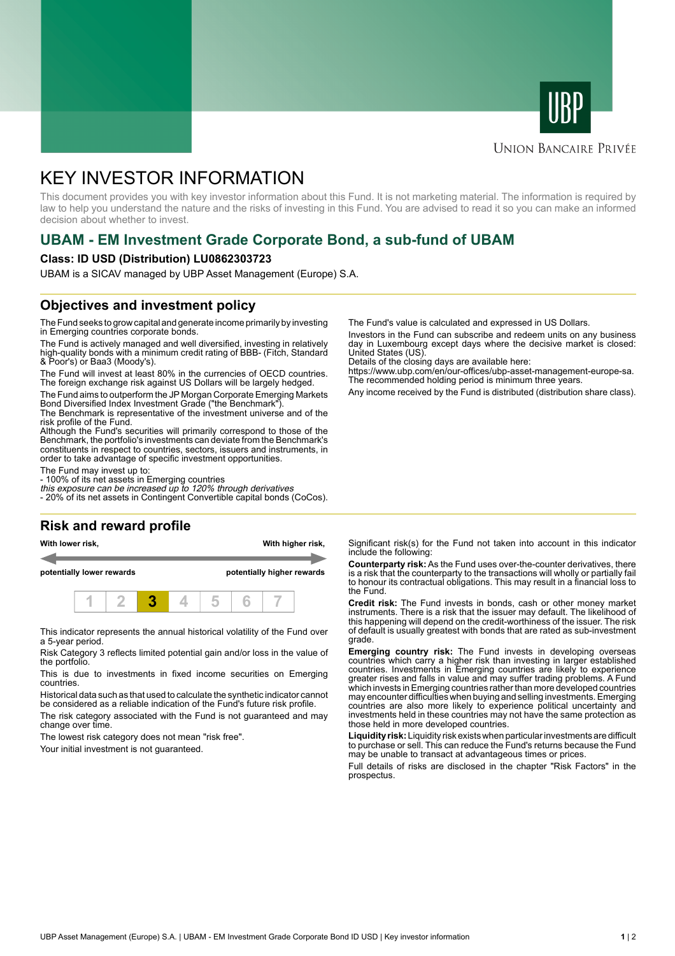



## **UNION BANCAIRE PRIVÉE**

# KEY INVESTOR INFORMATION

This document provides you with key investor information about this Fund. It is not marketing material. The information is required by law to help you understand the nature and the risks of investing in this Fund. You are advised to read it so you can make an informed decision about whether to invest.

# **UBAM - EM Investment Grade Corporate Bond, a sub-fund of UBAM**

#### **Class: ID USD (Distribution) LU0862303723**

UBAM is a SICAV managed by UBP Asset Management (Europe) S.A.

## **Objectives and investment policy**

The Fund seeks to grow capital and generate income primarily by investing in Emerging countries corporate bonds.

The Fund is actively managed and well diversified, investing in relatively high-quality bonds with a minimum credit rating of BBB- (Fitch, Standard & Poor's) or Baa3 (Moody's).

The Fund will invest at least 80% in the currencies of OECD countries. The foreign exchange risk against US Dollars will be largely hedged.

The Fund aims to outperform the JP Morgan Corporate Emerging Markets Bond Diversified Index Investment Grade ("the Benchmark").

The Benchmark is representative of the investment universe and of the risk profile of the Fund.

Although the Fund's securities will primarily correspond to those of the Benchmark, the portfolio's investments can deviate from the Benchmark's constituents in respect to countries, sectors, issuers and instruments, in order to take advantage of specific investment opportunities.

The Fund may invest up to:

- 100% of its net assets in Emerging countries

this exposure can be increased up to 120% through derivatives - 20% of its net assets in Contingent Convertible capital bonds (CoCos).

### **Risk and reward profile**

**With lower risk, With higher risk,**

**potentially lower rewards potentially higher rewards**



This indicator represents the annual historical volatility of the Fund over a 5-year period.

Risk Category 3 reflects limited potential gain and/or loss in the value of the portfolio.

This is due to investments in fixed income securities on Emerging countries.

Historical data such as that used to calculate the synthetic indicator cannot be considered as a reliable indication of the Fund's future risk profile.

The risk category associated with the Fund is not guaranteed and may change over time.

The lowest risk category does not mean "risk free".

Your initial investment is not guaranteed.

The Fund's value is calculated and expressed in US Dollars.

Investors in the Fund can subscribe and redeem units on any business day in Luxembourg except days where the decisive market is closed: United States (US).

Details of the closing days are available here:

https://www.ubp.com/en/our-offices/ubp-asset-management-europe-sa. The recommended holding period is minimum three years.

Any income received by the Fund is distributed (distribution share class).

Significant risk(s) for the Fund not taken into account in this indicator include the following:

**Counterparty risk:** As the Fund uses over-the-counter derivatives, there is a risk that the counterparty to the transactions will wholly or partially fail to honour its contractual obligations. This may result in a financial loss to the Fund.

**Credit risk:** The Fund invests in bonds, cash or other money market instruments. There is a risk that the issuer may default. The likelihood of this happening will depend on the credit-worthiness of the issuer. The risk of default is usually greatest with bonds that are rated as sub-investment grade.

**Emerging country risk:** The Fund invests in developing overseas countries which carry a higher risk than investing in larger established countries. Investments in Emerging countries are likely to experience greater rises and falls in value and may suffer trading problems. A Fund which invests in Emerging countries rather than more developed countries may encounter difficulties when buying and selling investments. Emerging countries are also more likely to experience political uncertainty and investments held in these countries may not have the same protection as those held in more developed countries.

**Liquidity risk:** Liquidity risk exists when particular investments are difficult to purchase or sell. This can reduce the Fund's returns because the Fund may be unable to transact at advantageous times or prices.

Full details of risks are disclosed in the chapter "Risk Factors" in the prospectus.